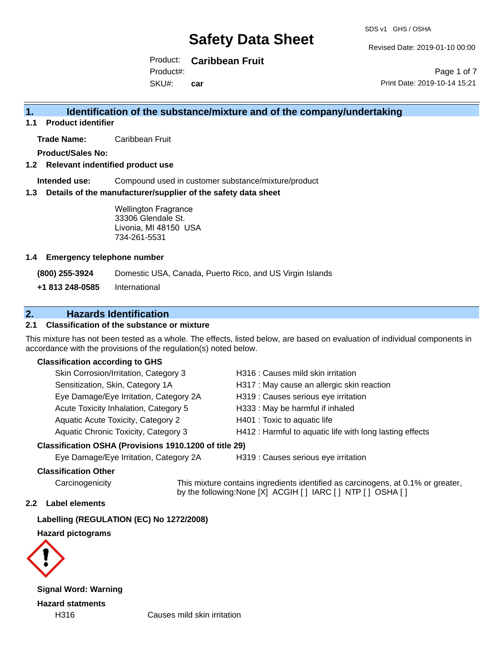Revised Date: 2019-01-10 00:00

Product: **Caribbean Fruit** Product#:

SKU#: **car**

Page 1 of 7 Print Date: 2019-10-14 15:21

## **1. Identification of the substance/mixture and of the company/undertaking**

**1.1 Product identifier**

**Trade Name:** Caribbean Fruit

**Product/Sales No:**

#### **1.2 Relevant indentified product use**

**Intended use:** Compound used in customer substance/mixture/product

#### **1.3 Details of the manufacturer/supplier of the safety data sheet**

Wellington Fragrance 33306 Glendale St. Livonia, MI 48150 USA 734-261-5531

#### **1.4 Emergency telephone number**

**(800) 255-3924** Domestic USA, Canada, Puerto Rico, and US Virgin Islands

**+1 813 248-0585** International

## **2. Hazards Identification**

### **2.1 Classification of the substance or mixture**

This mixture has not been tested as a whole. The effects, listed below, are based on evaluation of individual components in accordance with the provisions of the regulation(s) noted below.

#### **Classification according to GHS**

| Skin Corrosion/Irritation, Category 3       | H316 : Causes mild skin irritation                       |
|---------------------------------------------|----------------------------------------------------------|
| Sensitization, Skin, Category 1A            | H317 : May cause an allergic skin reaction               |
| Eye Damage/Eye Irritation, Category 2A      | H319 : Causes serious eye irritation                     |
| Acute Toxicity Inhalation, Category 5       | H333: May be harmful if inhaled                          |
| Aquatic Acute Toxicity, Category 2          | H401 : Toxic to aquatic life                             |
| <b>Aquatic Chronic Toxicity, Category 3</b> | H412 : Harmful to aquatic life with long lasting effects |
|                                             |                                                          |

## **Classification OSHA (Provisions 1910.1200 of title 29)**

Eye Damage/Eye Irritation, Category 2A H319 : Causes serious eye irritation

#### **Classification Other**

Carcinogenicity This mixture contains ingredients identified as carcinogens, at 0.1% or greater, by the following:None [X] ACGIH [ ] IARC [ ] NTP [ ] OSHA [ ]

#### **2.2 Label elements**

**Labelling (REGULATION (EC) No 1272/2008)**

**Hazard pictograms**



**Signal Word: Warning Hazard statments**

H316 Causes mild skin irritation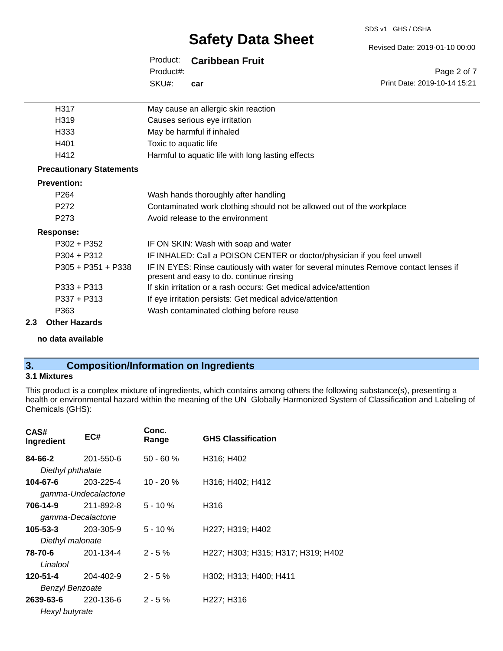#### SDS v1 GHS / OSHA

# **Safety Data Sheet**

## Product: **Caribbean Fruit**

SKU#: Product#: **car**

| H317                            | May cause an allergic skin reaction                                                                                              |
|---------------------------------|----------------------------------------------------------------------------------------------------------------------------------|
| H319                            | Causes serious eye irritation                                                                                                    |
| H333                            | May be harmful if inhaled                                                                                                        |
| H401                            | Toxic to aquatic life                                                                                                            |
| H412                            | Harmful to aquatic life with long lasting effects                                                                                |
| <b>Precautionary Statements</b> |                                                                                                                                  |
| <b>Prevention:</b>              |                                                                                                                                  |
| P <sub>264</sub>                | Wash hands thoroughly after handling                                                                                             |
| P272                            | Contaminated work clothing should not be allowed out of the workplace                                                            |
| P <sub>273</sub>                | Avoid release to the environment                                                                                                 |
| <b>Response:</b>                |                                                                                                                                  |
| $P302 + P352$                   | IF ON SKIN: Wash with soap and water                                                                                             |
| $P304 + P312$                   | IF INHALED: Call a POISON CENTER or doctor/physician if you feel unwell                                                          |
| $P305 + P351 + P338$            | IF IN EYES: Rinse cautiously with water for several minutes Remove contact lenses if<br>present and easy to do. continue rinsing |
| $P333 + P313$                   | If skin irritation or a rash occurs: Get medical advice/attention                                                                |
| P337 + P313                     | If eye irritation persists: Get medical advice/attention                                                                         |
| P363                            | Wash contaminated clothing before reuse                                                                                          |
| Athen Hamanda                   |                                                                                                                                  |

# **2.3 Other Hazards**

**no data available**

# **3. Composition/Information on Ingredients**

### **3.1 Mixtures**

This product is a complex mixture of ingredients, which contains among others the following substance(s), presenting a health or environmental hazard within the meaning of the UN Globally Harmonized System of Classification and Labeling of Chemicals (GHS):

| CAS#<br>Ingredient     | EC#                 | Conc.<br>Range | <b>GHS Classification</b>          |
|------------------------|---------------------|----------------|------------------------------------|
| 84-66-2                | 201-550-6           | $50 - 60 \%$   | H316; H402                         |
| Diethyl phthalate      |                     |                |                                    |
| 104-67-6               | 203-225-4           | $10 - 20 \%$   | H316; H402; H412                   |
|                        | gamma-Undecalactone |                |                                    |
| 706-14-9               | 211-892-8           | $5 - 10 \%$    | H316                               |
|                        | gamma-Decalactone   |                |                                    |
| 105-53-3               | 203-305-9           | $5 - 10 \%$    | H227; H319; H402                   |
| Diethyl malonate       |                     |                |                                    |
| 78-70-6                | 201-134-4           | $2 - 5 \%$     | H227; H303; H315; H317; H319; H402 |
| Linalool               |                     |                |                                    |
| 120-51-4               | 204-402-9           | $2 - 5 \%$     | H302; H313; H400; H411             |
| <b>Benzyl Benzoate</b> |                     |                |                                    |
| 2639-63-6              | 220-136-6           | $2 - 5%$       | H227; H316                         |
| Hexyl butyrate         |                     |                |                                    |

Revised Date: 2019-01-10 00:00

Page 2 of 7 Print Date: 2019-10-14 15:21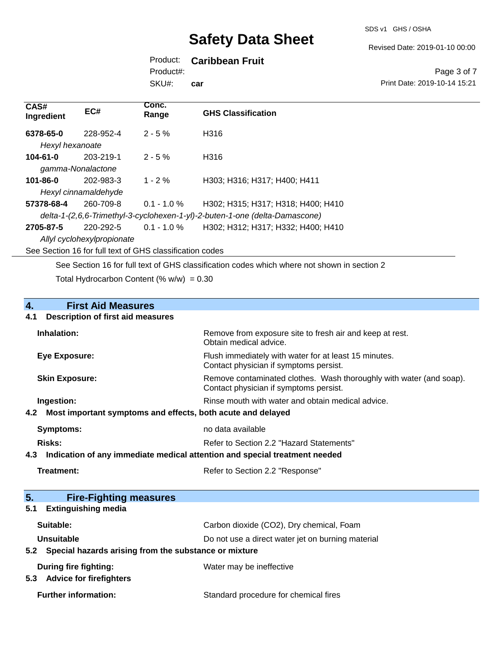Revised Date: 2019-01-10 00:00

# Product: **Caribbean Fruit**

SKU#: Product#: **car**

#### Page 3 of 7 Print Date: 2019-10-14 15:21

| CAS#<br>Ingredient                                                          | EC#                  | Conc.<br>Range | <b>GHS Classification</b>                                                                   |
|-----------------------------------------------------------------------------|----------------------|----------------|---------------------------------------------------------------------------------------------|
| 6378-65-0                                                                   | 228-952-4            | $2 - 5%$       | H316                                                                                        |
| Hexyl hexanoate                                                             |                      |                |                                                                                             |
| $104 - 61 - 0$                                                              | 203-219-1            | $2 - 5%$       | H316                                                                                        |
|                                                                             | gamma-Nonalactone    |                |                                                                                             |
| 101-86-0                                                                    | 202-983-3            | $1 - 2 \%$     | H303; H316; H317; H400; H411                                                                |
|                                                                             | Hexyl cinnamaldehyde |                |                                                                                             |
| 57378-68-4                                                                  | 260-709-8            | $0.1 - 1.0 \%$ | H302; H315; H317; H318; H400; H410                                                          |
| delta-1-(2,6,6-Trimethyl-3-cyclohexen-1-yl)-2-buten-1-one (delta-Damascone) |                      |                |                                                                                             |
| 2705-87-5                                                                   | 220-292-5            | $0.1 - 1.0 \%$ | H302; H312; H317; H332; H400; H410                                                          |
| Allyl cyclohexylpropionate                                                  |                      |                |                                                                                             |
| See Section 16 for full text of GHS classification codes                    |                      |                |                                                                                             |
|                                                                             |                      |                | See Section 16 for full text of GHS classification codes which where not shown in section 2 |

Total Hydrocarbon Content (%  $w/w$ ) = 0.30

# **4. First Aid Measures 4.1 Description of first aid measures Inhalation:** Remove from exposure site to fresh air and keep at rest. Obtain medical advice.

| Eye Exposure:         | Flush immediately with water for at least 15 minutes.<br>Contact physician if symptoms persist.               |
|-----------------------|---------------------------------------------------------------------------------------------------------------|
| <b>Skin Exposure:</b> | Remove contaminated clothes. Wash thoroughly with water (and soap).<br>Contact physician if symptoms persist. |
| Ingestion:            | Rinse mouth with water and obtain medical advice.                                                             |
|                       | 4.2 Most important symptoms and effects, both acute and delayed                                               |

| Symptoms:                                                                         | no data available                        |  |
|-----------------------------------------------------------------------------------|------------------------------------------|--|
| Risks:                                                                            | Refer to Section 2.2 "Hazard Statements" |  |
| Indication of any immediate medical attention and special treatment needed<br>4.3 |                                          |  |
| Treatment:                                                                        | Refer to Section 2.2 "Response"          |  |

| 5 <sub>1</sub><br><b>Fire-Fighting measures</b>                |                                                   |
|----------------------------------------------------------------|---------------------------------------------------|
| <b>Extinguishing media</b><br>5.1                              |                                                   |
| Suitable:                                                      | Carbon dioxide (CO2), Dry chemical, Foam          |
| <b>Unsuitable</b>                                              | Do not use a direct water jet on burning material |
| Special hazards arising from the substance or mixture<br>5.2   |                                                   |
| During fire fighting:<br><b>Advice for firefighters</b><br>5.3 | Water may be ineffective                          |
|                                                                |                                                   |
| <b>Further information:</b>                                    | Standard procedure for chemical fires             |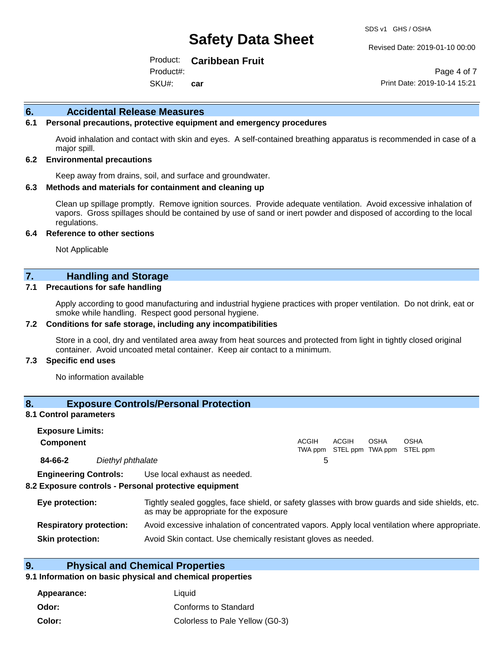#### Revised Date: 2019-01-10 00:00

Product: **Caribbean Fruit** Product#:

SKU#: **car**

Page 4 of 7 Print Date: 2019-10-14 15:21

#### **6. Accidental Release Measures**

#### **6.1 Personal precautions, protective equipment and emergency procedures**

Avoid inhalation and contact with skin and eyes. A self-contained breathing apparatus is recommended in case of a major spill.

#### **6.2 Environmental precautions**

Keep away from drains, soil, and surface and groundwater.

#### **6.3 Methods and materials for containment and cleaning up**

Clean up spillage promptly. Remove ignition sources. Provide adequate ventilation. Avoid excessive inhalation of vapors. Gross spillages should be contained by use of sand or inert powder and disposed of according to the local regulations.

#### **6.4 Reference to other sections**

Not Applicable

## **7. Handling and Storage**

#### **7.1 Precautions for safe handling**

Apply according to good manufacturing and industrial hygiene practices with proper ventilation. Do not drink, eat or smoke while handling. Respect good personal hygiene.

#### **7.2 Conditions for safe storage, including any incompatibilities**

Store in a cool, dry and ventilated area away from heat sources and protected from light in tightly closed original container. Avoid uncoated metal container. Keep air contact to a minimum.

#### **7.3 Specific end uses**

No information available

## **8. Exposure Controls/Personal Protection**

#### **8.1 Control parameters**

| <b>Exposure Limits:</b>        |                   |                                                                                                                                          |              |                                                   |             |             |  |
|--------------------------------|-------------------|------------------------------------------------------------------------------------------------------------------------------------------|--------------|---------------------------------------------------|-------------|-------------|--|
| <b>Component</b>               |                   |                                                                                                                                          | <b>ACGIH</b> | <b>ACGIH</b><br>TWA ppm STEL ppm TWA ppm STEL ppm | <b>OSHA</b> | <b>OSHA</b> |  |
| 84-66-2                        | Diethyl phthalate |                                                                                                                                          | 5            |                                                   |             |             |  |
| <b>Engineering Controls:</b>   |                   | Use local exhaust as needed.<br>8.2 Exposure controls - Personal protective equipment                                                    |              |                                                   |             |             |  |
| Eye protection:                |                   | Tightly sealed goggles, face shield, or safety glasses with brow guards and side shields, etc.<br>as may be appropriate for the exposure |              |                                                   |             |             |  |
| <b>Respiratory protection:</b> |                   | Avoid excessive inhalation of concentrated vapors. Apply local ventilation where appropriate.                                            |              |                                                   |             |             |  |

**Skin protection:** Avoid Skin contact. Use chemically resistant gloves as needed.

## **9. Physical and Chemical Properties**

#### **9.1 Information on basic physical and chemical properties**

| Appearance: | Liauid                          |
|-------------|---------------------------------|
| Odor:       | Conforms to Standard            |
| Color:      | Colorless to Pale Yellow (G0-3) |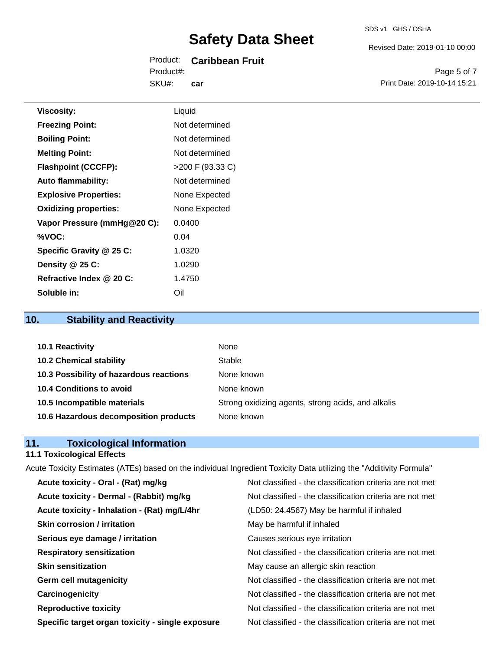#### SDS v1 GHS / OSHA

Revised Date: 2019-01-10 00:00

Product: **Caribbean Fruit** SKU#: Product#: **car**

Page 5 of 7 Print Date: 2019-10-14 15:21

| <b>Viscosity:</b>            | Liquid             |
|------------------------------|--------------------|
| <b>Freezing Point:</b>       | Not determined     |
| <b>Boiling Point:</b>        | Not determined     |
| <b>Melting Point:</b>        | Not determined     |
| <b>Flashpoint (CCCFP):</b>   | $>200$ F (93.33 C) |
| <b>Auto flammability:</b>    | Not determined     |
| <b>Explosive Properties:</b> | None Expected      |
| <b>Oxidizing properties:</b> | None Expected      |
| Vapor Pressure (mmHg@20 C):  | 0.0400             |
| %VOC:                        | 0.04               |
| Specific Gravity @ 25 C:     | 1.0320             |
| Density @ 25 C:              | 1.0290             |
| Refractive Index @ 20 C:     | 1.4750             |
| Soluble in:                  | Oil                |

# **10. Stability and Reactivity**

| 10.1 Reactivity                         | None                                               |
|-----------------------------------------|----------------------------------------------------|
| <b>10.2 Chemical stability</b>          | Stable                                             |
| 10.3 Possibility of hazardous reactions | None known                                         |
| 10.4 Conditions to avoid                | None known                                         |
| 10.5 Incompatible materials             | Strong oxidizing agents, strong acids, and alkalis |
| 10.6 Hazardous decomposition products   | None known                                         |

# **11. Toxicological Information**

#### **11.1 Toxicological Effects**

Acute Toxicity Estimates (ATEs) based on the individual Ingredient Toxicity Data utilizing the "Additivity Formula" **Acute toxicity - Oral - (Rat) mg/kg** Not classified - the classification criteria are not met

| Acute toxicity - Dermal - (Rabbit) mg/kg         | Not classified - the classification criteria are not met |
|--------------------------------------------------|----------------------------------------------------------|
| Acute toxicity - Inhalation - (Rat) mg/L/4hr     | (LD50: 24.4567) May be harmful if inhaled                |
| <b>Skin corrosion / irritation</b>               | May be harmful if inhaled                                |
| Serious eye damage / irritation                  | Causes serious eye irritation                            |
| <b>Respiratory sensitization</b>                 | Not classified - the classification criteria are not met |
| <b>Skin sensitization</b>                        | May cause an allergic skin reaction                      |
| <b>Germ cell mutagenicity</b>                    | Not classified - the classification criteria are not met |
| Carcinogenicity                                  | Not classified - the classification criteria are not met |
| <b>Reproductive toxicity</b>                     | Not classified - the classification criteria are not met |
| Specific target organ toxicity - single exposure | Not classified - the classification criteria are not met |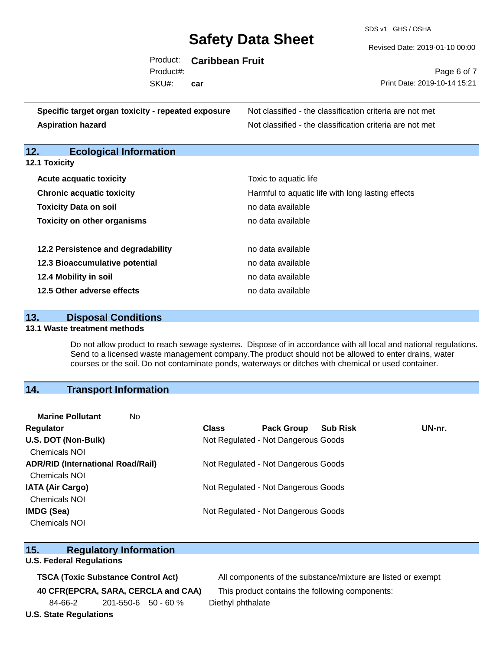SDS v1 GHS / OSHA

| Revised Date: 2019-01-10 00:00 |  |
|--------------------------------|--|
|                                |  |

|     |                                                    | Product:  | <b>Caribbean Fruit</b> |                                                          |
|-----|----------------------------------------------------|-----------|------------------------|----------------------------------------------------------|
|     |                                                    | Product#: |                        | Page 6 of 7                                              |
|     |                                                    | SKU#:     | car                    | Print Date: 2019-10-14 15:21                             |
|     | Specific target organ toxicity - repeated exposure |           |                        | Not classified - the classification criteria are not met |
|     | <b>Aspiration hazard</b>                           |           |                        | Not classified - the classification criteria are not met |
| 12. | <b>Ecological Information</b>                      |           |                        |                                                          |
|     | 12.1 Toxicity                                      |           |                        |                                                          |
|     | <b>Acute acquatic toxicity</b>                     |           |                        | Toxic to aquatic life                                    |
|     | <b>Chronic acquatic toxicity</b>                   |           |                        | Harmful to aquatic life with long lasting effects        |
|     | <b>Toxicity Data on soil</b>                       |           |                        | no data available                                        |
|     | <b>Toxicity on other organisms</b>                 |           |                        | no data available                                        |
|     | 12.2 Persistence and degradability                 |           |                        | no data available                                        |
|     | 12.3 Bioaccumulative potential                     |           |                        | no data available                                        |
|     | 12.4 Mobility in soil                              |           |                        | no data available                                        |
|     |                                                    |           |                        |                                                          |

**12.5 Other adverse effects no data available no data available** 

## **13. Disposal Conditions**

#### **13.1 Waste treatment methods**

Do not allow product to reach sewage systems. Dispose of in accordance with all local and national regulations. Send to a licensed waste management company.The product should not be allowed to enter drains, water courses or the soil. Do not contaminate ponds, waterways or ditches with chemical or used container.

### **14. Transport Information**

| <b>Marine Pollutant</b>                  | No |                                     |                                     |                 |        |
|------------------------------------------|----|-------------------------------------|-------------------------------------|-----------------|--------|
| Regulator                                |    | <b>Class</b>                        | <b>Pack Group</b>                   | <b>Sub Risk</b> | UN-nr. |
| U.S. DOT (Non-Bulk)                      |    |                                     | Not Regulated - Not Dangerous Goods |                 |        |
| <b>Chemicals NOI</b>                     |    |                                     |                                     |                 |        |
| <b>ADR/RID (International Road/Rail)</b> |    | Not Regulated - Not Dangerous Goods |                                     |                 |        |
| <b>Chemicals NOI</b>                     |    |                                     |                                     |                 |        |
| <b>IATA (Air Cargo)</b>                  |    |                                     | Not Regulated - Not Dangerous Goods |                 |        |
| Chemicals NOI                            |    |                                     |                                     |                 |        |
| <b>IMDG (Sea)</b>                        |    |                                     | Not Regulated - Not Dangerous Goods |                 |        |
| <b>Chemicals NOI</b>                     |    |                                     |                                     |                 |        |
|                                          |    |                                     |                                     |                 |        |

### **15. Regulatory Information**

### **U.S. Federal Regulations**

84-66-2 201-550-6 50 - 60 % Diethyl phthalate

**TSCA (Toxic Substance Control Act)** All components of the substance/mixture are listed or exempt

**40 CFR(EPCRA, SARA, CERCLA and CAA)** This product contains the following components:

## **U.S. State Regulations**